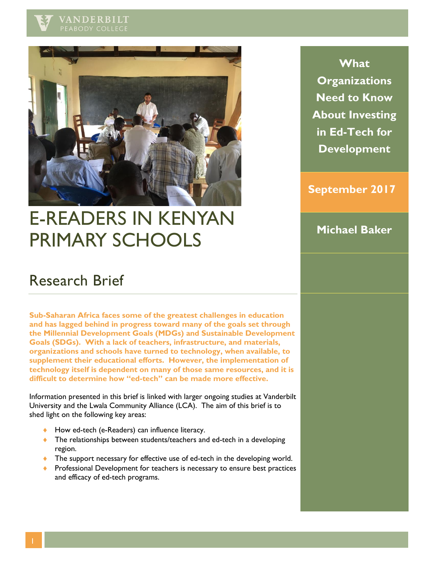



# E-READERS IN KENYAN PRIMARY SCHOOLS

**What Organizations Need to Know About Investing in Ed-Tech for Development**

### **September 2017**

**Michael Baker**

## Research Brief

**Sub-Saharan Africa faces some of the greatest challenges in education and has lagged behind in progress toward many of the goals set through the Millennial Development Goals (MDGs) and Sustainable Development Goals (SDGs). With a lack of teachers, infrastructure, and materials, organizations and schools have turned to technology, when available, to supplement their educational efforts. However, the implementation of technology itself is dependent on many of those same resources, and it is difficult to determine how "ed-tech" can be made more effective.**

Information presented in this brief is linked with larger ongoing studies at Vanderbilt University and the Lwala Community Alliance (LCA). The aim of this brief is to shed light on the following key areas:

- ◆ How ed-tech (e-Readers) can influence literacy.
- ◆ The relationships between students/teachers and ed-tech in a developing region.
- ◆ The support necessary for effective use of ed-tech in the developing world.
- **Professional Development for teachers is necessary to ensure best practices** and efficacy of ed-tech programs.